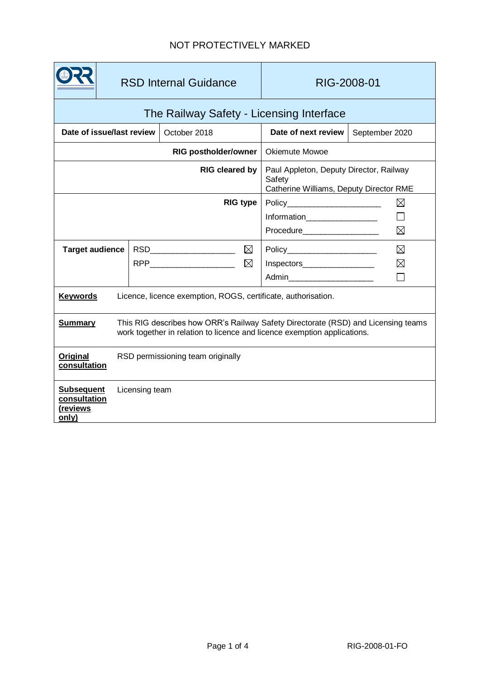# NOT PROTECTIVELY MARKED

|                                                                                                                                                                                 | <b>RSD Internal Guidance</b>      |                                | RIG-2008-01                                                                                  |                |  |
|---------------------------------------------------------------------------------------------------------------------------------------------------------------------------------|-----------------------------------|--------------------------------|----------------------------------------------------------------------------------------------|----------------|--|
| The Railway Safety - Licensing Interface                                                                                                                                        |                                   |                                |                                                                                              |                |  |
| Date of issue/last review                                                                                                                                                       |                                   | October 2018                   | Date of next review                                                                          | September 2020 |  |
| <b>RIG postholder/owner</b>                                                                                                                                                     |                                   |                                | <b>Okiemute Mowoe</b>                                                                        |                |  |
| RIG cleared by                                                                                                                                                                  |                                   |                                | Paul Appleton, Deputy Director, Railway<br>Safety<br>Catherine Williams, Deputy Director RME |                |  |
| <b>RIG type</b>                                                                                                                                                                 |                                   |                                | ⊠<br>Policy________________________                                                          |                |  |
|                                                                                                                                                                                 |                                   |                                | Information__________________                                                                | $\Box$         |  |
|                                                                                                                                                                                 |                                   |                                |                                                                                              | $\boxtimes$    |  |
| <b>Target audience</b>                                                                                                                                                          |                                   | RSD______________________<br>⊠ |                                                                                              | $\boxtimes$    |  |
|                                                                                                                                                                                 |                                   | ⊠                              | Inspectors_____________________                                                              | $\boxtimes$    |  |
|                                                                                                                                                                                 |                                   |                                | Admin <b>Administration</b>                                                                  |                |  |
| <b>Keywords</b><br>Licence, licence exemption, ROGS, certificate, authorisation.                                                                                                |                                   |                                |                                                                                              |                |  |
| <b>Summary</b><br>This RIG describes how ORR's Railway Safety Directorate (RSD) and Licensing teams<br>work together in relation to licence and licence exemption applications. |                                   |                                |                                                                                              |                |  |
| Original<br>consultation                                                                                                                                                        | RSD permissioning team originally |                                |                                                                                              |                |  |
| <b>Subsequent</b><br>consultation<br>(reviews<br>only)                                                                                                                          | Licensing team                    |                                |                                                                                              |                |  |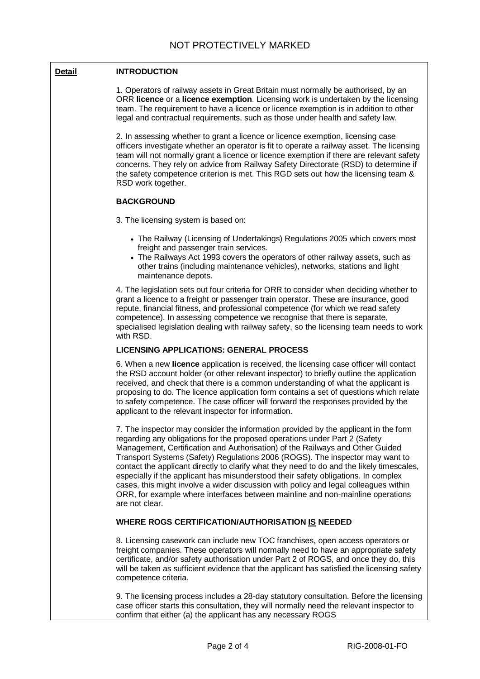## **Detail INTRODUCTION**

1. Operators of railway assets in Great Britain must normally be authorised, by an ORR **licence** or a **licence exemption**. Licensing work is undertaken by the licensing team. The requirement to have a licence or licence exemption is in addition to other legal and contractual requirements, such as those under health and safety law.

2. In assessing whether to grant a licence or licence exemption, licensing case officers investigate whether an operator is fit to operate a railway asset. The licensing team will not normally grant a licence or licence exemption if there are relevant safety concerns. They rely on advice from Railway Safety Directorate (RSD) to determine if the safety competence criterion is met. This RGD sets out how the licensing team & RSD work together.

#### **BACKGROUND**

3. The licensing system is based on:

- The Railway (Licensing of Undertakings) Regulations 2005 which covers most freight and passenger train services.
- The Railways Act 1993 covers the operators of other railway assets, such as other trains (including maintenance vehicles), networks, stations and light maintenance depots.

4. The legislation sets out four criteria for ORR to consider when deciding whether to grant a licence to a freight or passenger train operator. These are insurance, good repute, financial fitness, and professional competence (for which we read safety competence). In assessing competence we recognise that there is separate, specialised legislation dealing with railway safety, so the licensing team needs to work with RSD.

## **LICENSING APPLICATIONS: GENERAL PROCESS**

6. When a new **licence** application is received, the licensing case officer will contact the RSD account holder (or other relevant inspector) to briefly outline the application received, and check that there is a common understanding of what the applicant is proposing to do. The licence application form contains a set of questions which relate to safety competence. The case officer will forward the responses provided by the applicant to the relevant inspector for information.

7. The inspector may consider the information provided by the applicant in the form regarding any obligations for the proposed operations under Part 2 (Safety Management, Certification and Authorisation) of the Railways and Other Guided Transport Systems (Safety) Regulations 2006 (ROGS). The inspector may want to contact the applicant directly to clarify what they need to do and the likely timescales, especially if the applicant has misunderstood their safety obligations. In complex cases, this might involve a wider discussion with policy and legal colleagues within ORR, for example where interfaces between mainline and non-mainline operations are not clear.

## **WHERE ROGS CERTIFICATION/AUTHORISATION IS NEEDED**

8. Licensing casework can include new TOC franchises, open access operators or freight companies. These operators will normally need to have an appropriate safety certificate, and/or safety authorisation under Part 2 of ROGS, and once they do, this will be taken as sufficient evidence that the applicant has satisfied the licensing safety competence criteria.

9. The licensing process includes a 28-day statutory consultation. Before the licensing case officer starts this consultation, they will normally need the relevant inspector to confirm that either (a) the applicant has any necessary ROGS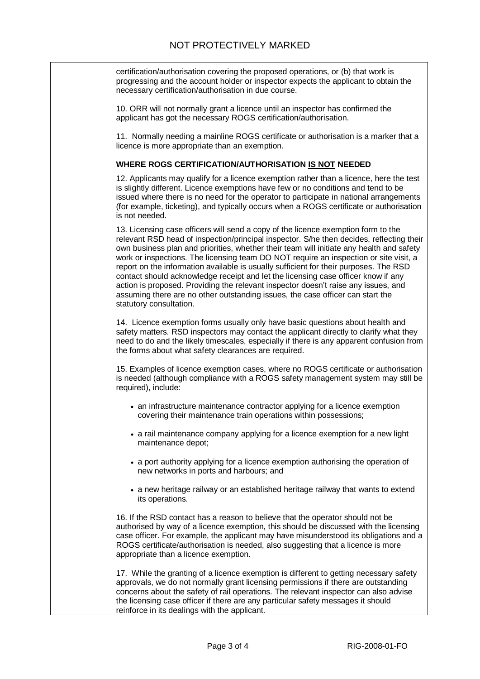certification/authorisation covering the proposed operations, or (b) that work is progressing and the account holder or inspector expects the applicant to obtain the necessary certification/authorisation in due course.

10. ORR will not normally grant a licence until an inspector has confirmed the applicant has got the necessary ROGS certification/authorisation.

11. Normally needing a mainline ROGS certificate or authorisation is a marker that a licence is more appropriate than an exemption.

#### **WHERE ROGS CERTIFICATION/AUTHORISATION IS NOT NEEDED**

12. Applicants may qualify for a licence exemption rather than a licence, here the test is slightly different. Licence exemptions have few or no conditions and tend to be issued where there is no need for the operator to participate in national arrangements (for example, ticketing), and typically occurs when a ROGS certificate or authorisation is not needed.

13. Licensing case officers will send a copy of the licence exemption form to the relevant RSD head of inspection/principal inspector. S/he then decides, reflecting their own business plan and priorities, whether their team will initiate any health and safety work or inspections. The licensing team DO NOT require an inspection or site visit, a report on the information available is usually sufficient for their purposes. The RSD contact should acknowledge receipt and let the licensing case officer know if any action is proposed. Providing the relevant inspector doesn't raise any issues, and assuming there are no other outstanding issues, the case officer can start the statutory consultation.

14. Licence exemption forms usually only have basic questions about health and safety matters. RSD inspectors may contact the applicant directly to clarify what they need to do and the likely timescales, especially if there is any apparent confusion from the forms about what safety clearances are required.

15. Examples of licence exemption cases, where no ROGS certificate or authorisation is needed (although compliance with a ROGS safety management system may still be required), include:

- an infrastructure maintenance contractor applying for a licence exemption covering their maintenance train operations within possessions;
- a rail maintenance company applying for a licence exemption for a new light maintenance depot;
- a port authority applying for a licence exemption authorising the operation of new networks in ports and harbours; and
- a new heritage railway or an established heritage railway that wants to extend its operations.

16. If the RSD contact has a reason to believe that the operator should not be authorised by way of a licence exemption, this should be discussed with the licensing case officer. For example, the applicant may have misunderstood its obligations and a ROGS certificate/authorisation is needed, also suggesting that a licence is more appropriate than a licence exemption.

17. While the granting of a licence exemption is different to getting necessary safety approvals, we do not normally grant licensing permissions if there are outstanding concerns about the safety of rail operations. The relevant inspector can also advise the licensing case officer if there are any particular safety messages it should reinforce in its dealings with the applicant.